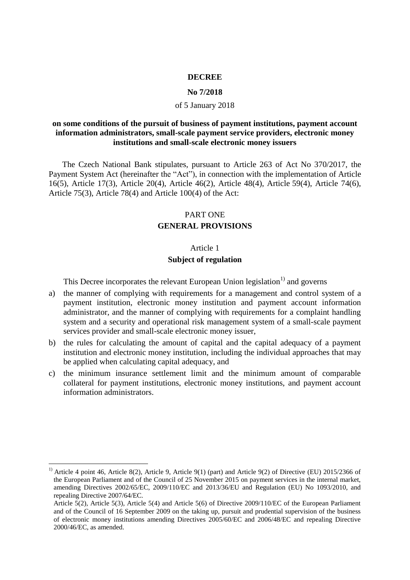#### **DECREE**

#### **No 7/2018**

### of 5 January 2018

## **on some conditions of the pursuit of business of payment institutions, payment account information administrators, small-scale payment service providers, electronic money institutions and small-scale electronic money issuers**

 The Czech National Bank stipulates, pursuant to Article 263 of Act No 370/2017, the Payment System Act (hereinafter the "Act"), in connection with the implementation of Article 16(5), Article 17(3), Article 20(4), Article 46(2), Article 48(4), Article 59(4), Article 74(6), Article 75(3), Article 78(4) and Article 100(4) of the Act:

#### PART ONE

## **GENERAL PROVISIONS**

## Article 1

### **Subject of regulation**

This Decree incorporates the relevant European Union legislation<sup>1)</sup> and governs

- a) the manner of complying with requirements for a management and control system of a payment institution, electronic money institution and payment account information administrator, and the manner of complying with requirements for a complaint handling system and a security and operational risk management system of a small-scale payment services provider and small-scale electronic money issuer,
- b) the rules for calculating the amount of capital and the capital adequacy of a payment institution and electronic money institution, including the individual approaches that may be applied when calculating capital adequacy, and
- c) the minimum insurance settlement limit and the minimum amount of comparable collateral for payment institutions, electronic money institutions, and payment account information administrators.

<u>.</u>

<sup>&</sup>lt;sup>1)</sup> Article 4 point 46, Article 8(2), Article 9, Article 9(1) (part) and Article 9(2) of Directive (EU) 2015/2366 of the European Parliament and of the Council of 25 November 2015 on payment services in the internal market, amending Directives 2002/65/EC, 2009/110/EC and 2013/36/EU and Regulation (EU) No 1093/2010, and repealing Directive 2007/64/EC.

Article 5(2), Article 5(3), Article 5(4) and Article 5(6) of Directive 2009/110/EC of the European Parliament and of the Council of 16 September 2009 on the taking up, pursuit and prudential supervision of the business of electronic money institutions amending Directives 2005/60/EC and 2006/48/EC and repealing Directive 2000/46/EC, as amended.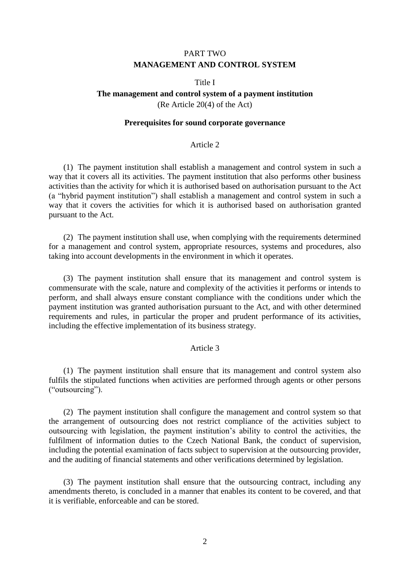## PART TWO **MANAGEMENT AND CONTROL SYSTEM**

### Title I

# **The management and control system of a payment institution**

(Re Article 20(4) of the Act)

### **Prerequisites for sound corporate governance**

## Article 2

(1) The payment institution shall establish a management and control system in such a way that it covers all its activities. The payment institution that also performs other business activities than the activity for which it is authorised based on authorisation pursuant to the Act (a "hybrid payment institution") shall establish a management and control system in such a way that it covers the activities for which it is authorised based on authorisation granted pursuant to the Act.

(2) The payment institution shall use, when complying with the requirements determined for a management and control system, appropriate resources, systems and procedures, also taking into account developments in the environment in which it operates.

(3) The payment institution shall ensure that its management and control system is commensurate with the scale, nature and complexity of the activities it performs or intends to perform, and shall always ensure constant compliance with the conditions under which the payment institution was granted authorisation pursuant to the Act, and with other determined requirements and rules, in particular the proper and prudent performance of its activities, including the effective implementation of its business strategy.

#### Article 3

(1) The payment institution shall ensure that its management and control system also fulfils the stipulated functions when activities are performed through agents or other persons ("outsourcing").

(2) The payment institution shall configure the management and control system so that the arrangement of outsourcing does not restrict compliance of the activities subject to outsourcing with legislation, the payment institution's ability to control the activities, the fulfilment of information duties to the Czech National Bank, the conduct of supervision, including the potential examination of facts subject to supervision at the outsourcing provider, and the auditing of financial statements and other verifications determined by legislation.

(3) The payment institution shall ensure that the outsourcing contract, including any amendments thereto, is concluded in a manner that enables its content to be covered, and that it is verifiable, enforceable and can be stored.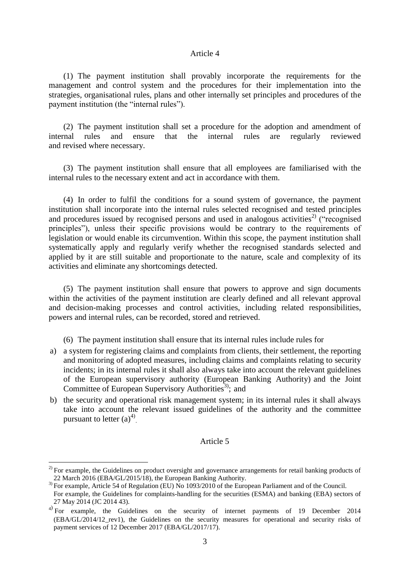#### Article 4

(1) The payment institution shall provably incorporate the requirements for the management and control system and the procedures for their implementation into the strategies, organisational rules, plans and other internally set principles and procedures of the payment institution (the "internal rules").

(2) The payment institution shall set a procedure for the adoption and amendment of internal rules and ensure that the internal rules are regularly reviewed and revised where necessary.

(3) The payment institution shall ensure that all employees are familiarised with the internal rules to the necessary extent and act in accordance with them.

(4) In order to fulfil the conditions for a sound system of governance, the payment institution shall incorporate into the internal rules selected recognised and tested principles and procedures issued by recognised persons and used in analogous activities<sup>2)</sup> ("recognised principles"), unless their specific provisions would be contrary to the requirements of legislation or would enable its circumvention. Within this scope, the payment institution shall systematically apply and regularly verify whether the recognised standards selected and applied by it are still suitable and proportionate to the nature, scale and complexity of its activities and eliminate any shortcomings detected.

(5) The payment institution shall ensure that powers to approve and sign documents within the activities of the payment institution are clearly defined and all relevant approval and decision-making processes and control activities, including related responsibilities, powers and internal rules, can be recorded, stored and retrieved.

(6) The payment institution shall ensure that its internal rules include rules for

- a) a system for registering claims and complaints from clients, their settlement, the reporting and monitoring of adopted measures, including claims and complaints relating to security incidents; in its internal rules it shall also always take into account the relevant guidelines of the European supervisory authority (European Banking Authority) and the Joint Committee of European Supervisory Authorities<sup>3)</sup>; and
- b) the security and operational risk management system; in its internal rules it shall always take into account the relevant issued guidelines of the authority and the committee pursuant to letter  $(a)^{4}$ .

### Article 5

<u>.</u>

<sup>&</sup>lt;sup>2)</sup> For example, the Guidelines on product oversight and governance arrangements for retail banking products of 22 March 2016 (EBA/GL/2015/18), the European Banking Authority.

<sup>&</sup>lt;sup>3)</sup> For example, Article 54 of Regulation (EU) No 1093/2010 of the European Parliament and of the Council. For example, the Guidelines for complaints-handling for the securities (ESMA) and banking (EBA) sectors of 27 May 2014 (JC 2014 43).

<sup>&</sup>lt;sup>4)</sup> For example, the Guidelines on the security of internet payments of 19 December 2014 (EBA/GL/2014/12\_rev1), the Guidelines on the security measures for operational and security risks of payment services of 12 December 2017 (EBA/GL/2017/17)*.*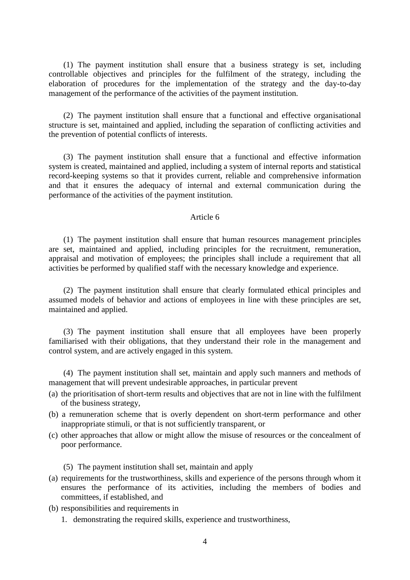(1) The payment institution shall ensure that a business strategy is set, including controllable objectives and principles for the fulfilment of the strategy, including the elaboration of procedures for the implementation of the strategy and the day-to-day management of the performance of the activities of the payment institution.

(2) The payment institution shall ensure that a functional and effective organisational structure is set, maintained and applied, including the separation of conflicting activities and the prevention of potential conflicts of interests.

(3) The payment institution shall ensure that a functional and effective information system is created, maintained and applied, including a system of internal reports and statistical record-keeping systems so that it provides current, reliable and comprehensive information and that it ensures the adequacy of internal and external communication during the performance of the activities of the payment institution.

### Article 6

(1) The payment institution shall ensure that human resources management principles are set, maintained and applied, including principles for the recruitment, remuneration, appraisal and motivation of employees; the principles shall include a requirement that all activities be performed by qualified staff with the necessary knowledge and experience.

(2) The payment institution shall ensure that clearly formulated ethical principles and assumed models of behavior and actions of employees in line with these principles are set, maintained and applied.

(3) The payment institution shall ensure that all employees have been properly familiarised with their obligations, that they understand their role in the management and control system, and are actively engaged in this system.

(4) The payment institution shall set, maintain and apply such manners and methods of management that will prevent undesirable approaches, in particular prevent

- (a) the prioritisation of short-term results and objectives that are not in line with the fulfilment of the business strategy,
- (b) a remuneration scheme that is overly dependent on short-term performance and other inappropriate stimuli, or that is not sufficiently transparent, or
- (c) other approaches that allow or might allow the misuse of resources or the concealment of poor performance.

(5) The payment institution shall set, maintain and apply

- (a) requirements for the trustworthiness, skills and experience of the persons through whom it ensures the performance of its activities, including the members of bodies and committees, if established, and
- (b) responsibilities and requirements in
	- 1. demonstrating the required skills, experience and trustworthiness,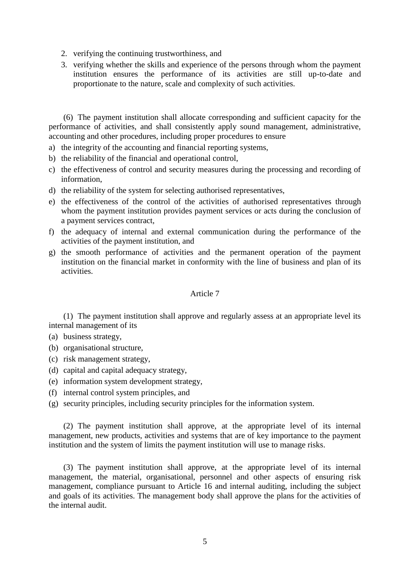- 2. verifying the continuing trustworthiness, and
- 3. verifying whether the skills and experience of the persons through whom the payment institution ensures the performance of its activities are still up-to-date and proportionate to the nature, scale and complexity of such activities.

(6) The payment institution shall allocate corresponding and sufficient capacity for the performance of activities, and shall consistently apply sound management, administrative, accounting and other procedures, including proper procedures to ensure

- a) the integrity of the accounting and financial reporting systems,
- b) the reliability of the financial and operational control,
- c) the effectiveness of control and security measures during the processing and recording of information,
- d) the reliability of the system for selecting authorised representatives,
- e) the effectiveness of the control of the activities of authorised representatives through whom the payment institution provides payment services or acts during the conclusion of a payment services contract,
- f) the adequacy of internal and external communication during the performance of the activities of the payment institution, and
- g) the smooth performance of activities and the permanent operation of the payment institution on the financial market in conformity with the line of business and plan of its activities.

### Article 7

(1) The payment institution shall approve and regularly assess at an appropriate level its internal management of its

- (a) business strategy,
- (b) organisational structure,
- (c) risk management strategy,
- (d) capital and capital adequacy strategy,
- (e) information system development strategy,
- (f) internal control system principles, and
- (g) security principles, including security principles for the information system.

(2) The payment institution shall approve, at the appropriate level of its internal management, new products, activities and systems that are of key importance to the payment institution and the system of limits the payment institution will use to manage risks.

(3) The payment institution shall approve, at the appropriate level of its internal management, the material, organisational, personnel and other aspects of ensuring risk management, compliance pursuant to Article 16 and internal auditing, including the subject and goals of its activities. The management body shall approve the plans for the activities of the internal audit.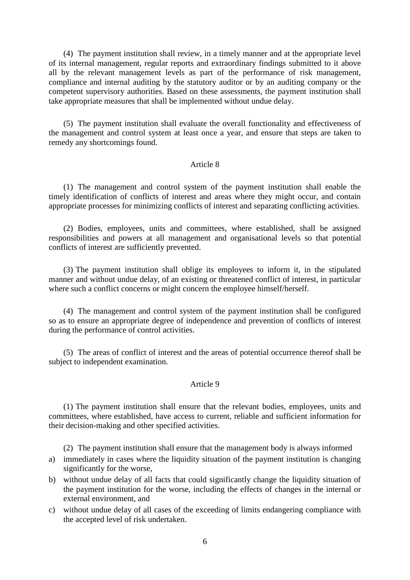(4) The payment institution shall review, in a timely manner and at the appropriate level of its internal management, regular reports and extraordinary findings submitted to it above all by the relevant management levels as part of the performance of risk management, compliance and internal auditing by the statutory auditor or by an auditing company or the competent supervisory authorities. Based on these assessments, the payment institution shall take appropriate measures that shall be implemented without undue delay.

(5) The payment institution shall evaluate the overall functionality and effectiveness of the management and control system at least once a year, and ensure that steps are taken to remedy any shortcomings found.

## Article 8

(1) The management and control system of the payment institution shall enable the timely identification of conflicts of interest and areas where they might occur, and contain appropriate processes for minimizing conflicts of interest and separating conflicting activities.

(2) Bodies, employees, units and committees, where established, shall be assigned responsibilities and powers at all management and organisational levels so that potential conflicts of interest are sufficiently prevented.

(3) The payment institution shall oblige its employees to inform it, in the stipulated manner and without undue delay, of an existing or threatened conflict of interest, in particular where such a conflict concerns or might concern the employee himself/herself.

(4) The management and control system of the payment institution shall be configured so as to ensure an appropriate degree of independence and prevention of conflicts of interest during the performance of control activities.

(5) The areas of conflict of interest and the areas of potential occurrence thereof shall be subject to independent examination.

## Article 9

(1) The payment institution shall ensure that the relevant bodies, employees, units and committees, where established, have access to current, reliable and sufficient information for their decision-making and other specified activities.

(2) The payment institution shall ensure that the management body is always informed

- a) immediately in cases where the liquidity situation of the payment institution is changing significantly for the worse,
- b) without undue delay of all facts that could significantly change the liquidity situation of the payment institution for the worse, including the effects of changes in the internal or external environment, and
- c) without undue delay of all cases of the exceeding of limits endangering compliance with the accepted level of risk undertaken.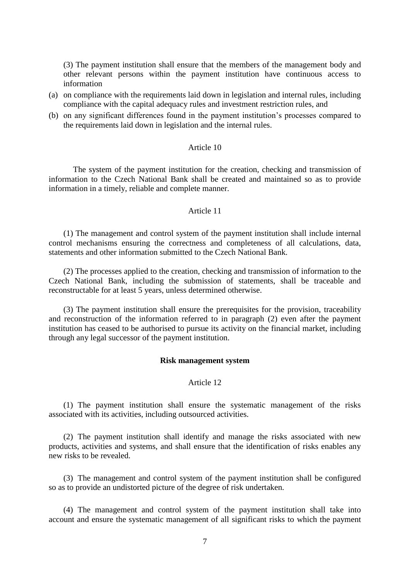(3) The payment institution shall ensure that the members of the management body and other relevant persons within the payment institution have continuous access to information

- (a) on compliance with the requirements laid down in legislation and internal rules, including compliance with the capital adequacy rules and investment restriction rules, and
- (b) on any significant differences found in the payment institution's processes compared to the requirements laid down in legislation and the internal rules.

### Article 10

The system of the payment institution for the creation, checking and transmission of information to the Czech National Bank shall be created and maintained so as to provide information in a timely, reliable and complete manner.

### Article 11

(1) The management and control system of the payment institution shall include internal control mechanisms ensuring the correctness and completeness of all calculations, data, statements and other information submitted to the Czech National Bank.

(2) The processes applied to the creation, checking and transmission of information to the Czech National Bank, including the submission of statements, shall be traceable and reconstructable for at least 5 years, unless determined otherwise.

(3) The payment institution shall ensure the prerequisites for the provision, traceability and reconstruction of the information referred to in paragraph (2) even after the payment institution has ceased to be authorised to pursue its activity on the financial market, including through any legal successor of the payment institution.

### **Risk management system**

## Article 12

(1) The payment institution shall ensure the systematic management of the risks associated with its activities, including outsourced activities.

(2) The payment institution shall identify and manage the risks associated with new products, activities and systems, and shall ensure that the identification of risks enables any new risks to be revealed.

(3) The management and control system of the payment institution shall be configured so as to provide an undistorted picture of the degree of risk undertaken.

(4) The management and control system of the payment institution shall take into account and ensure the systematic management of all significant risks to which the payment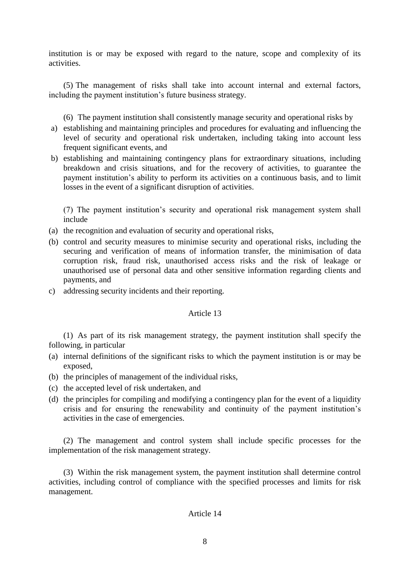institution is or may be exposed with regard to the nature, scope and complexity of its activities.

(5) The management of risks shall take into account internal and external factors, including the payment institution's future business strategy.

(6) The payment institution shall consistently manage security and operational risks by

- a) establishing and maintaining principles and procedures for evaluating and influencing the level of security and operational risk undertaken, including taking into account less frequent significant events, and
- b) establishing and maintaining contingency plans for extraordinary situations, including breakdown and crisis situations, and for the recovery of activities, to guarantee the payment institution's ability to perform its activities on a continuous basis, and to limit losses in the event of a significant disruption of activities.

(7) The payment institution's security and operational risk management system shall include

- (a) the recognition and evaluation of security and operational risks,
- (b) control and security measures to minimise security and operational risks, including the securing and verification of means of information transfer, the minimisation of data corruption risk, fraud risk, unauthorised access risks and the risk of leakage or unauthorised use of personal data and other sensitive information regarding clients and payments, and
- c) addressing security incidents and their reporting.

### Article 13

(1) As part of its risk management strategy, the payment institution shall specify the following, in particular

- (a) internal definitions of the significant risks to which the payment institution is or may be exposed,
- (b) the principles of management of the individual risks,
- (c) the accepted level of risk undertaken, and
- (d) the principles for compiling and modifying a contingency plan for the event of a liquidity crisis and for ensuring the renewability and continuity of the payment institution's activities in the case of emergencies.

(2) The management and control system shall include specific processes for the implementation of the risk management strategy.

(3) Within the risk management system, the payment institution shall determine control activities, including control of compliance with the specified processes and limits for risk management.

#### Article 14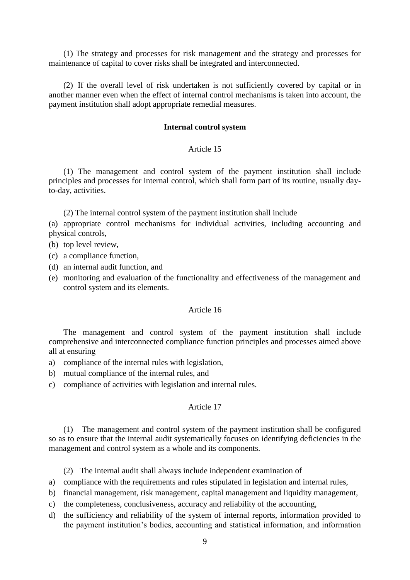(1) The strategy and processes for risk management and the strategy and processes for maintenance of capital to cover risks shall be integrated and interconnected.

(2) If the overall level of risk undertaken is not sufficiently covered by capital or in another manner even when the effect of internal control mechanisms is taken into account, the payment institution shall adopt appropriate remedial measures.

#### **Internal control system**

### Article 15

(1) The management and control system of the payment institution shall include principles and processes for internal control, which shall form part of its routine, usually dayto-day, activities.

(2) The internal control system of the payment institution shall include

(a) appropriate control mechanisms for individual activities, including accounting and physical controls,

- (b) top level review,
- (c) a compliance function,
- (d) an internal audit function, and
- (e) monitoring and evaluation of the functionality and effectiveness of the management and control system and its elements.

#### Article 16

The management and control system of the payment institution shall include comprehensive and interconnected compliance function principles and processes aimed above all at ensuring

- a) compliance of the internal rules with legislation,
- b) mutual compliance of the internal rules, and
- c) compliance of activities with legislation and internal rules.

### Article 17

(1) The management and control system of the payment institution shall be configured so as to ensure that the internal audit systematically focuses on identifying deficiencies in the management and control system as a whole and its components.

(2) The internal audit shall always include independent examination of

- a) compliance with the requirements and rules stipulated in legislation and internal rules,
- b) financial management, risk management, capital management and liquidity management,
- c) the completeness, conclusiveness, accuracy and reliability of the accounting,
- d) the sufficiency and reliability of the system of internal reports, information provided to the payment institution's bodies, accounting and statistical information, and information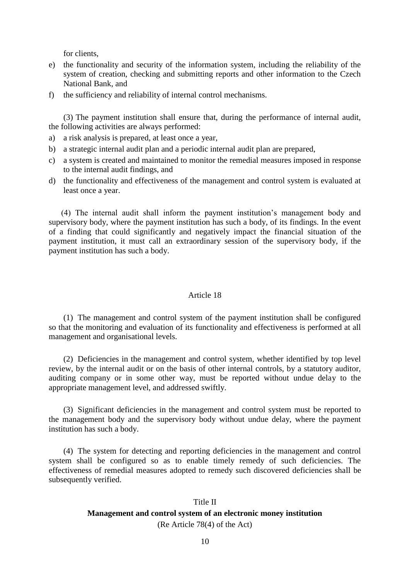for clients,

- e) the functionality and security of the information system, including the reliability of the system of creation, checking and submitting reports and other information to the Czech National Bank, and
- f) the sufficiency and reliability of internal control mechanisms.

(3) The payment institution shall ensure that, during the performance of internal audit, the following activities are always performed:

- a) a risk analysis is prepared, at least once a year,
- b) a strategic internal audit plan and a periodic internal audit plan are prepared,
- c) a system is created and maintained to monitor the remedial measures imposed in response to the internal audit findings, and
- d) the functionality and effectiveness of the management and control system is evaluated at least once a year.

 (4) The internal audit shall inform the payment institution's management body and supervisory body, where the payment institution has such a body, of its findings. In the event of a finding that could significantly and negatively impact the financial situation of the payment institution, it must call an extraordinary session of the supervisory body, if the payment institution has such a body.

#### Article 18

(1) The management and control system of the payment institution shall be configured so that the monitoring and evaluation of its functionality and effectiveness is performed at all management and organisational levels.

(2) Deficiencies in the management and control system, whether identified by top level review, by the internal audit or on the basis of other internal controls, by a statutory auditor, auditing company or in some other way, must be reported without undue delay to the appropriate management level, and addressed swiftly.

(3) Significant deficiencies in the management and control system must be reported to the management body and the supervisory body without undue delay, where the payment institution has such a body.

(4) The system for detecting and reporting deficiencies in the management and control system shall be configured so as to enable timely remedy of such deficiencies. The effectiveness of remedial measures adopted to remedy such discovered deficiencies shall be subsequently verified.

## Title II

## **Management and control system of an electronic money institution**

(Re Article 78(4) of the Act)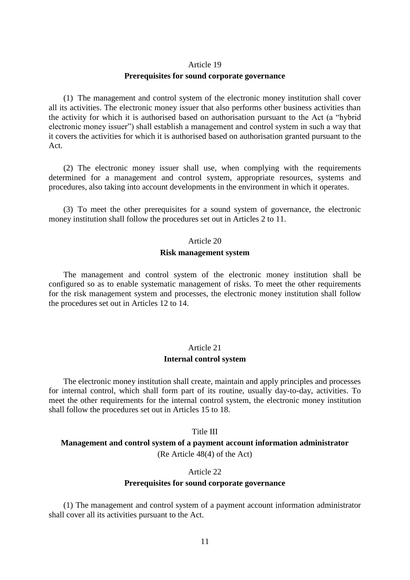#### Article 19

#### **Prerequisites for sound corporate governance**

(1) The management and control system of the electronic money institution shall cover all its activities. The electronic money issuer that also performs other business activities than the activity for which it is authorised based on authorisation pursuant to the Act (a "hybrid electronic money issuer") shall establish a management and control system in such a way that it covers the activities for which it is authorised based on authorisation granted pursuant to the Act.

(2) The electronic money issuer shall use, when complying with the requirements determined for a management and control system, appropriate resources, systems and procedures, also taking into account developments in the environment in which it operates.

(3) To meet the other prerequisites for a sound system of governance, the electronic money institution shall follow the procedures set out in Articles 2 to 11.

# Article 20

## **Risk management system**

The management and control system of the electronic money institution shall be configured so as to enable systematic management of risks. To meet the other requirements for the risk management system and processes, the electronic money institution shall follow the procedures set out in Articles 12 to 14.

## Article 21 **Internal control system**

The electronic money institution shall create, maintain and apply principles and processes for internal control, which shall form part of its routine, usually day-to-day, activities. To meet the other requirements for the internal control system, the electronic money institution shall follow the procedures set out in Articles 15 to 18.

#### Title III

## **Management and control system of a payment account information administrator** (Re Article 48(4) of the Act)

#### Article 22

#### **Prerequisites for sound corporate governance**

(1) The management and control system of a payment account information administrator shall cover all its activities pursuant to the Act.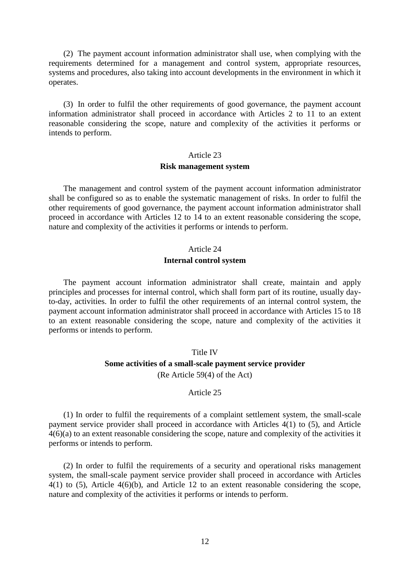(2) The payment account information administrator shall use, when complying with the requirements determined for a management and control system, appropriate resources, systems and procedures, also taking into account developments in the environment in which it operates.

(3) In order to fulfil the other requirements of good governance, the payment account information administrator shall proceed in accordance with Articles 2 to 11 to an extent reasonable considering the scope, nature and complexity of the activities it performs or intends to perform.

#### Article 23

#### **Risk management system**

The management and control system of the payment account information administrator shall be configured so as to enable the systematic management of risks. In order to fulfil the other requirements of good governance, the payment account information administrator shall proceed in accordance with Articles 12 to 14 to an extent reasonable considering the scope, nature and complexity of the activities it performs or intends to perform.

#### Article 24

#### **Internal control system**

The payment account information administrator shall create, maintain and apply principles and processes for internal control, which shall form part of its routine, usually dayto-day, activities. In order to fulfil the other requirements of an internal control system, the payment account information administrator shall proceed in accordance with Articles 15 to 18 to an extent reasonable considering the scope, nature and complexity of the activities it performs or intends to perform.

## Title IV **Some activities of a small-scale payment service provider** (Re Article 59(4) of the Act)

#### Article 25

(1) In order to fulfil the requirements of a complaint settlement system, the small-scale payment service provider shall proceed in accordance with Articles 4(1) to (5), and Article 4(6)(a) to an extent reasonable considering the scope, nature and complexity of the activities it performs or intends to perform.

(2) In order to fulfil the requirements of a security and operational risks management system, the small-scale payment service provider shall proceed in accordance with Articles 4(1) to (5), Article 4(6)(b), and Article 12 to an extent reasonable considering the scope, nature and complexity of the activities it performs or intends to perform.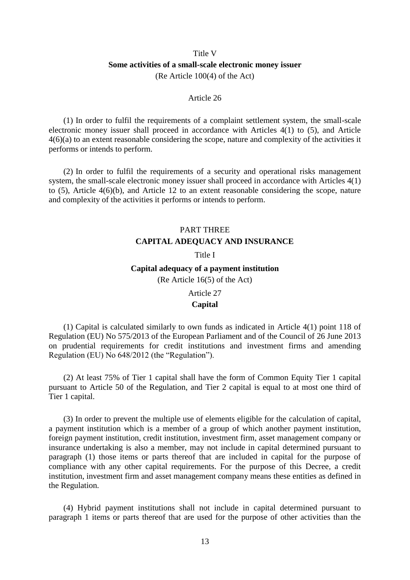## Title V **Some activities of a small-scale electronic money issuer**  (Re Article 100(4) of the Act)

#### Article 26

(1) In order to fulfil the requirements of a complaint settlement system, the small-scale electronic money issuer shall proceed in accordance with Articles 4(1) to (5), and Article 4(6)(a) to an extent reasonable considering the scope, nature and complexity of the activities it performs or intends to perform.

(2) In order to fulfil the requirements of a security and operational risks management system, the small-scale electronic money issuer shall proceed in accordance with Articles 4(1) to (5), Article 4(6)(b), and Article 12 to an extent reasonable considering the scope, nature and complexity of the activities it performs or intends to perform.

# PART THREE **CAPITAL ADEQUACY AND INSURANCE**

#### Title I

#### **Capital adequacy of a payment institution**

(Re Article 16(5) of the Act)

#### Article 27

#### **Capital**

(1) Capital is calculated similarly to own funds as indicated in Article 4(1) point 118 of Regulation (EU) No 575/2013 of the European Parliament and of the Council of 26 June 2013 on prudential requirements for credit institutions and investment firms and amending Regulation (EU) No 648/2012 (the "Regulation").

(2) At least 75% of Tier 1 capital shall have the form of Common Equity Tier 1 capital pursuant to Article 50 of the Regulation, and Tier 2 capital is equal to at most one third of Tier 1 capital.

(3) In order to prevent the multiple use of elements eligible for the calculation of capital, a payment institution which is a member of a group of which another payment institution, foreign payment institution, credit institution, investment firm, asset management company or insurance undertaking is also a member, may not include in capital determined pursuant to paragraph (1) those items or parts thereof that are included in capital for the purpose of compliance with any other capital requirements. For the purpose of this Decree, a credit institution, investment firm and asset management company means these entities as defined in the Regulation.

(4) Hybrid payment institutions shall not include in capital determined pursuant to paragraph 1 items or parts thereof that are used for the purpose of other activities than the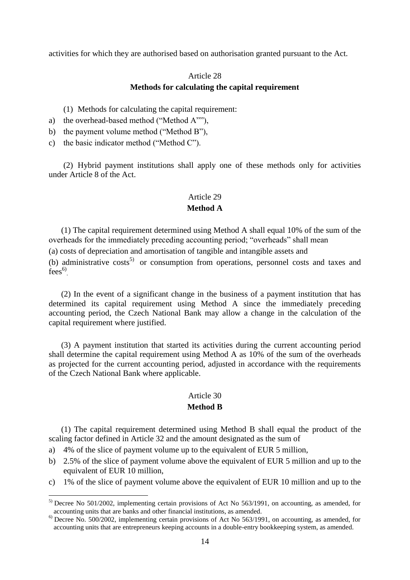activities for which they are authorised based on authorisation granted pursuant to the Act.

## Article 28 **Methods for calculating the capital requirement**

- (1) Methods for calculating the capital requirement:
- a) the overhead-based method ("Method A""),
- b) the payment volume method ("Method B"),
- c) the basic indicator method ("Method C").

(2) Hybrid payment institutions shall apply one of these methods only for activities under Article 8 of the Act.

## Article 29

## **Method A**

(1) The capital requirement determined using Method A shall equal 10% of the sum of the overheads for the immediately preceding accounting period; "overheads" shall mean

(a) costs of depreciation and amortisation of tangible and intangible assets and

(b) administrative costs<sup>5)</sup> or consumption from operations, personnel costs and taxes and  $fees^{6}$ .

(2) In the event of a significant change in the business of a payment institution that has determined its capital requirement using Method A since the immediately preceding accounting period, the Czech National Bank may allow a change in the calculation of the capital requirement where justified.

(3) A payment institution that started its activities during the current accounting period shall determine the capital requirement using Method A as 10% of the sum of the overheads as projected for the current accounting period, adjusted in accordance with the requirements of the Czech National Bank where applicable.

## Article 30

### **Method B**

(1) The capital requirement determined using Method B shall equal the product of the scaling factor defined in Article 32 and the amount designated as the sum of

a) 4% of the slice of payment volume up to the equivalent of EUR 5 million,

1

- b) 2.5% of the slice of payment volume above the equivalent of EUR 5 million and up to the equivalent of EUR 10 million,
- c) 1% of the slice of payment volume above the equivalent of EUR 10 million and up to the

<sup>&</sup>lt;sup>5)</sup> Decree No 501/2002, implementing certain provisions of Act No 563/1991, on accounting, as amended, for accounting units that are banks and other financial institutions, as amended.

<sup>&</sup>lt;sup>6)</sup> Decree No. 500/2002, implementing certain provisions of Act No 563/1991, on accounting, as amended, for accounting units that are entrepreneurs keeping accounts in a double-entry bookkeeping system, as amended.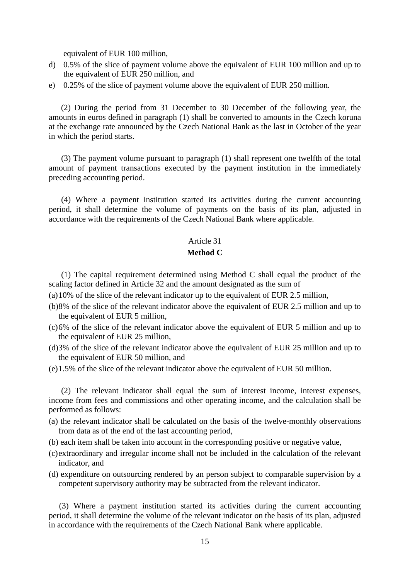equivalent of EUR 100 million,

- d) 0.5% of the slice of payment volume above the equivalent of EUR 100 million and up to the equivalent of EUR 250 million, and
- e) 0.25% of the slice of payment volume above the equivalent of EUR 250 million.

(2) During the period from 31 December to 30 December of the following year, the amounts in euros defined in paragraph (1) shall be converted to amounts in the Czech koruna at the exchange rate announced by the Czech National Bank as the last in October of the year in which the period starts.

(3) The payment volume pursuant to paragraph (1) shall represent one twelfth of the total amount of payment transactions executed by the payment institution in the immediately preceding accounting period.

(4) Where a payment institution started its activities during the current accounting period, it shall determine the volume of payments on the basis of its plan, adjusted in accordance with the requirements of the Czech National Bank where applicable.

### Article 31

## **Method C**

 (1) The capital requirement determined using Method C shall equal the product of the scaling factor defined in Article 32 and the amount designated as the sum of

- (a)10% of the slice of the relevant indicator up to the equivalent of EUR 2.5 million,
- (b)8% of the slice of the relevant indicator above the equivalent of EUR 2.5 million and up to the equivalent of EUR 5 million,
- (c)6% of the slice of the relevant indicator above the equivalent of EUR 5 million and up to the equivalent of EUR 25 million,
- (d)3% of the slice of the relevant indicator above the equivalent of EUR 25 million and up to the equivalent of EUR 50 million, and
- (e)1.5% of the slice of the relevant indicator above the equivalent of EUR 50 million.

 (2) The relevant indicator shall equal the sum of interest income, interest expenses, income from fees and commissions and other operating income, and the calculation shall be performed as follows:

- (a) the relevant indicator shall be calculated on the basis of the twelve-monthly observations from data as of the end of the last accounting period,
- (b) each item shall be taken into account in the corresponding positive or negative value,
- (c)extraordinary and irregular income shall not be included in the calculation of the relevant indicator, and
- (d) expenditure on outsourcing rendered by an person subject to comparable supervision by a competent supervisory authority may be subtracted from the relevant indicator.

 (3) Where a payment institution started its activities during the current accounting period, it shall determine the volume of the relevant indicator on the basis of its plan, adjusted in accordance with the requirements of the Czech National Bank where applicable.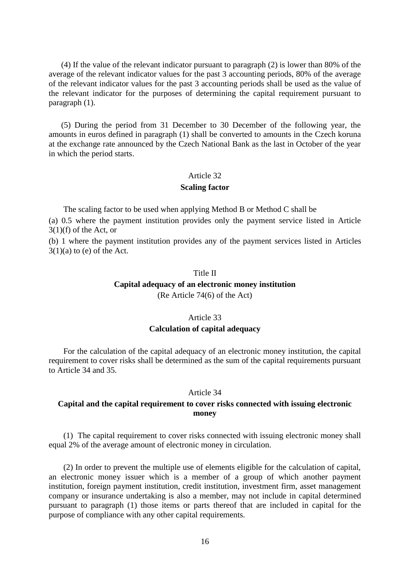(4) If the value of the relevant indicator pursuant to paragraph (2) is lower than 80% of the average of the relevant indicator values for the past 3 accounting periods, 80% of the average of the relevant indicator values for the past 3 accounting periods shall be used as the value of the relevant indicator for the purposes of determining the capital requirement pursuant to paragraph (1).

 (5) During the period from 31 December to 30 December of the following year, the amounts in euros defined in paragraph (1) shall be converted to amounts in the Czech koruna at the exchange rate announced by the Czech National Bank as the last in October of the year in which the period starts.

#### Article 32

#### **Scaling factor**

The scaling factor to be used when applying Method B or Method C shall be

(a) 0.5 where the payment institution provides only the payment service listed in Article  $3(1)(f)$  of the Act, or

(b) 1 where the payment institution provides any of the payment services listed in Articles  $3(1)(a)$  to (e) of the Act.

#### Title II

## **Capital adequacy of an electronic money institution**

(Re Article 74(6) of the Act)

#### Article 33

#### **Calculation of capital adequacy**

For the calculation of the capital adequacy of an electronic money institution, the capital requirement to cover risks shall be determined as the sum of the capital requirements pursuant to Article 34 and 35.

#### Article 34

## **Capital and the capital requirement to cover risks connected with issuing electronic money**

(1) The capital requirement to cover risks connected with issuing electronic money shall equal 2% of the average amount of electronic money in circulation.

(2) In order to prevent the multiple use of elements eligible for the calculation of capital, an electronic money issuer which is a member of a group of which another payment institution, foreign payment institution, credit institution, investment firm, asset management company or insurance undertaking is also a member, may not include in capital determined pursuant to paragraph (1) those items or parts thereof that are included in capital for the purpose of compliance with any other capital requirements.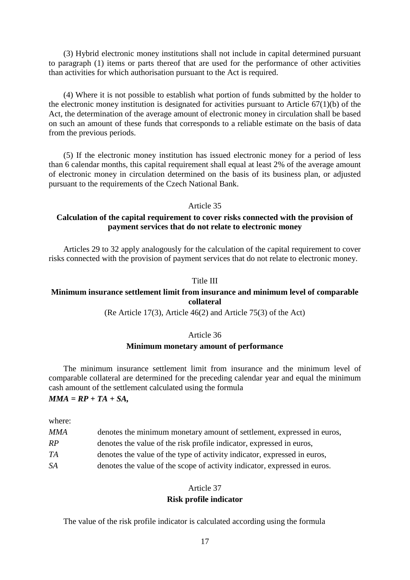(3) Hybrid electronic money institutions shall not include in capital determined pursuant to paragraph (1) items or parts thereof that are used for the performance of other activities than activities for which authorisation pursuant to the Act is required.

(4) Where it is not possible to establish what portion of funds submitted by the holder to the electronic money institution is designated for activities pursuant to Article 67(1)(b) of the Act, the determination of the average amount of electronic money in circulation shall be based on such an amount of these funds that corresponds to a reliable estimate on the basis of data from the previous periods.

(5) If the electronic money institution has issued electronic money for a period of less than 6 calendar months, this capital requirement shall equal at least 2% of the average amount of electronic money in circulation determined on the basis of its business plan, or adjusted pursuant to the requirements of the Czech National Bank.

#### Article 35

## **Calculation of the capital requirement to cover risks connected with the provision of payment services that do not relate to electronic money**

Articles 29 to 32 apply analogously for the calculation of the capital requirement to cover risks connected with the provision of payment services that do not relate to electronic money.

#### Title III

## **Minimum insurance settlement limit from insurance and minimum level of comparable collateral**

(Re Article 17(3), Article 46(2) and Article 75(3) of the Act)

#### Article 36

### **Minimum monetary amount of performance**

The minimum insurance settlement limit from insurance and the minimum level of comparable collateral are determined for the preceding calendar year and equal the minimum cash amount of the settlement calculated using the formula

## *MMA = RP + TA + SA,*

where:

| <b>MMA</b> | denotes the minimum monetary amount of settlement, expressed in euros, |
|------------|------------------------------------------------------------------------|
| RP         | denotes the value of the risk profile indicator, expressed in euros,   |

- *TA* denotes the value of the type of activity indicator, expressed in euros,
- *SA* denotes the value of the scope of activity indicator, expressed in euros.

## Article 37

#### **Risk profile indicator**

The value of the risk profile indicator is calculated according using the formula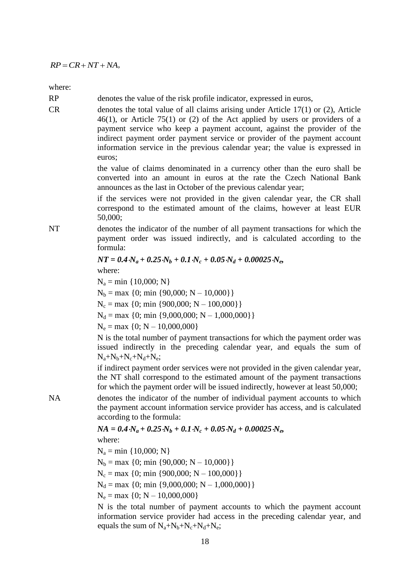where:

RP denotes the value of the risk profile indicator, expressed in euros,

RP = CR+ NT+ NA,<br>
where:<br>
RP<br>
denotes the value of the risk profit<br>
RP<br>
denotes the total value of all claim<br>
denotes the total value of all claim<br>
46(1), or Article 75(1) or (2) of<br>
information service who keep a ps<br>
inf CR denotes the total value of all claims arising under Article 17(1) or (2), Article 46(1), or Article 75(1) or (2) of the Act applied by users or providers of a payment service who keep a payment account, against the provider of the indirect payment order payment service or provider of the payment account information service in the previous calendar year; the value is expressed in euros;

the value of claims denominated in a currency other than the euro shall be converted into an amount in euros at the rate the Czech National Bank announces as the last in October of the previous calendar year;

if the services were not provided in the given calendar year, the CR shall correspond to the estimated amount of the claims, however at least EUR 50,000;

NT denotes the indicator of the number of all payment transactions for which the payment order was issued indirectly, and is calculated according to the formula:

$$
NT = 0.4 N_a + 0.25 N_b + 0.1 N_c + 0.05 N_d + 0.00025 N_e,
$$

where:

 $N_a = min \{10,000; N\}$ 

 $N_b = max \{0; min \{90,000; N - 10,000\}\}\$ 

 $N_c = \max \{0; \min \{900,000; N - 100,000\} \}$ 

 $N_d = \max \{0; \min \{9,000,000; N - 1,000,000\}\}\$ 

 $N_e = \max \{0; N - 10,000,000\}$ 

N is the total number of payment transactions for which the payment order was issued indirectly in the preceding calendar year, and equals the sum of  $N_a + N_b + N_c + N_d + N_e;$ 

if indirect payment order services were not provided in the given calendar year, the NT shall correspond to the estimated amount of the payment transactions for which the payment order will be issued indirectly, however at least 50,000;

NA denotes the indicator of the number of individual payment accounts to which the payment account information service provider has access, and is calculated according to the formula:

 $NA = 0.4\cdot N_a + 0.25\cdot N_b + 0.1\cdot N_c + 0.05\cdot N_d + 0.00025\cdot N_e$ 

where:

 $N_a = min \{10,000; N\}$  $N_b = max \{0; min \{90,000; N - 10,000\}\}\$  $N_c = \max \{0; \min \{900,000; N - 100,000\}\}\$  $N_d = \max \{0; \min \{9,000,000; N - 1,000,000\} \}$  $N_e = max \{0; N - 10,000,000\}$ 

N is the total number of payment accounts to which the payment account information service provider had access in the preceding calendar year, and equals the sum of  $N_a+N_b+N_c+N_d+N_e$ ;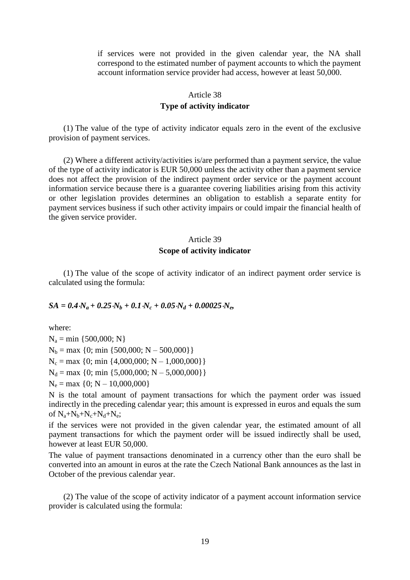if services were not provided in the given calendar year, the NA shall correspond to the estimated number of payment accounts to which the payment account information service provider had access, however at least 50,000.

## Article 38 **Type of activity indicator**

(1) The value of the type of activity indicator equals zero in the event of the exclusive provision of payment services.

(2) Where a different activity/activities is/are performed than a payment service, the value of the type of activity indicator is EUR 50,000 unless the activity other than a payment service does not affect the provision of the indirect payment order service or the payment account information service because there is a guarantee covering liabilities arising from this activity or other legislation provides determines an obligation to establish a separate entity for payment services business if such other activity impairs or could impair the financial health of the given service provider.

## Article 39 **Scope of activity indicator**

(1) The value of the scope of activity indicator of an indirect payment order service is calculated using the formula:

#### $SA = 0.4N_a + 0.25N_b + 0.1N_c + 0.05N_d + 0.00025N_e$

where:

 $N_a = min \{500,000; N\}$  $N_b = max \{0; min \{500,000; N - 500,000\}\}\$  $N_c = \max \{0; \min \{4,000,000; N - 1,000,000\} \}$  $N_d = \max \{0; \min \{5,000,000; N - 5,000,000\} \}$  $N_e = \max \{0; N - 10,000,000\}$ 

N is the total amount of payment transactions for which the payment order was issued indirectly in the preceding calendar year; this amount is expressed in euros and equals the sum of  $N_a+N_b+N_c+N_d+N_e;$ 

if the services were not provided in the given calendar year, the estimated amount of all payment transactions for which the payment order will be issued indirectly shall be used, however at least EUR 50,000.

The value of payment transactions denominated in a currency other than the euro shall be converted into an amount in euros at the rate the Czech National Bank announces as the last in October of the previous calendar year.

(2) The value of the scope of activity indicator of a payment account information service provider is calculated using the formula: